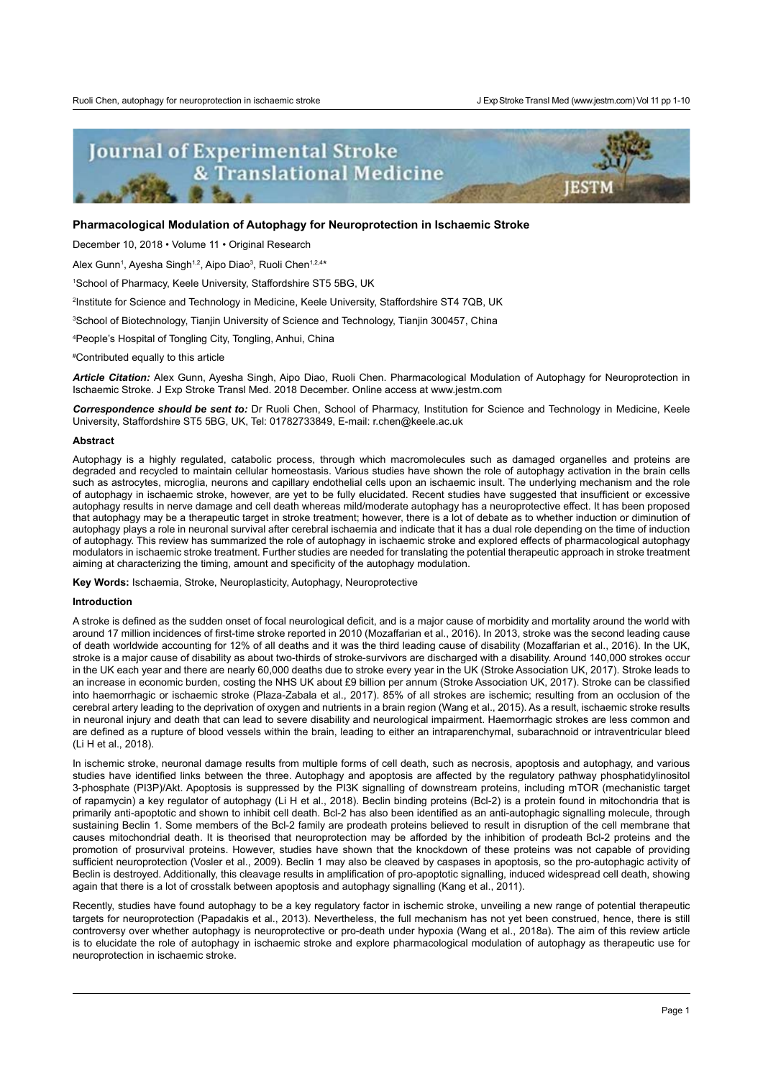**IESTM** 

# **Journal of Experimental Stroke** & Translational Medicine

## **Pharmacological Modulation of Autophagy for Neuroprotection in Ischaemic Stroke**

December 10, 2018 • Volume 11 • Original Research

Alex Gunn<sup>1</sup>, Ayesha Singh<sup>1,2</sup>, Aipo Diao<sup>3</sup>, Ruoli Chen<sup>1,2,4</sup>\*

1 School of Pharmacy, Keele University, Staffordshire ST5 5BG, UK

2 Institute for Science and Technology in Medicine, Keele University, Staffordshire ST4 7QB, UK

3 School of Biotechnology, Tianjin University of Science and Technology, Tianjin 300457, China

4 People's Hospital of Tongling City, Tongling, Anhui, China

# Contributed equally to this article

*Article Citation:* Alex Gunn, Ayesha Singh, Aipo Diao, Ruoli Chen. Pharmacological Modulation of Autophagy for Neuroprotection in Ischaemic Stroke. J Exp Stroke Transl Med. 2018 December. Online access at www.jestm.com

*Correspondence should be sent to:* Dr Ruoli Chen, School of Pharmacy, Institution for Science and Technology in Medicine, Keele University, Staffordshire ST5 5BG, UK, Tel: 01782733849, E-mail: r.chen@keele.ac.uk

#### **Abstract**

Autophagy is a highly regulated, catabolic process, through which macromolecules such as damaged organelles and proteins are degraded and recycled to maintain cellular homeostasis. Various studies have shown the role of autophagy activation in the brain cells such as astrocytes, microglia, neurons and capillary endothelial cells upon an ischaemic insult. The underlying mechanism and the role of autophagy in ischaemic stroke, however, are yet to be fully elucidated. Recent studies have suggested that insufficient or excessive autophagy results in nerve damage and cell death whereas mild/moderate autophagy has a neuroprotective effect. It has been proposed that autophagy may be a therapeutic target in stroke treatment; however, there is a lot of debate as to whether induction or diminution of autophagy plays a role in neuronal survival after cerebral ischaemia and indicate that it has a dual role depending on the time of induction of autophagy. This review has summarized the role of autophagy in ischaemic stroke and explored effects of pharmacological autophagy modulators in ischaemic stroke treatment. Further studies are needed for translating the potential therapeutic approach in stroke treatment aiming at characterizing the timing, amount and specificity of the autophagy modulation.

**Key Words:** Ischaemia, Stroke, Neuroplasticity, Autophagy, Neuroprotective

#### **Introduction**

A stroke is defined as the sudden onset of focal neurological deficit, and is a major cause of morbidity and mortality around the world with around 17 million incidences of first-time stroke reported in 2010 (Mozaffarian et al., 2016). In 2013, stroke was the second leading cause of death worldwide accounting for 12% of all deaths and it was the third leading cause of disability (Mozaffarian et al., 2016). In the UK, stroke is a major cause of disability as about two-thirds of stroke-survivors are discharged with a disability. Around 140,000 strokes occur in the UK each year and there are nearly 60,000 deaths due to stroke every year in the UK (Stroke Association UK, 2017). Stroke leads to an increase in economic burden, costing the NHS UK about £9 billion per annum (Stroke Association UK, 2017). Stroke can be classified into haemorrhagic or ischaemic stroke (Plaza-Zabala et al., 2017). 85% of all strokes are ischemic; resulting from an occlusion of the cerebral artery leading to the deprivation of oxygen and nutrients in a brain region (Wang et al., 2015). As a result, ischaemic stroke results in neuronal injury and death that can lead to severe disability and neurological impairment. Haemorrhagic strokes are less common and are defined as a rupture of blood vessels within the brain, leading to either an intraparenchymal, subarachnoid or intraventricular bleed (Li H et al., 2018).

In ischemic stroke, neuronal damage results from multiple forms of cell death, such as necrosis, apoptosis and autophagy, and various studies have identified links between the three. Autophagy and apoptosis are affected by the regulatory pathway phosphatidylinositol 3-phosphate (PI3P)/Akt. Apoptosis is suppressed by the PI3K signalling of downstream proteins, including mTOR (mechanistic target of rapamycin) a key regulator of autophagy (Li H et al., 2018). Beclin binding proteins (Bcl-2) is a protein found in mitochondria that is primarily anti-apoptotic and shown to inhibit cell death. Bcl-2 has also been identified as an anti-autophagic signalling molecule, through sustaining Beclin 1. Some members of the Bcl-2 family are prodeath proteins believed to result in disruption of the cell membrane that causes mitochondrial death. It is theorised that neuroprotection may be afforded by the inhibition of prodeath Bcl-2 proteins and the promotion of prosurvival proteins. However, studies have shown that the knockdown of these proteins was not capable of providing sufficient neuroprotection (Vosler et al., 2009). Beclin 1 may also be cleaved by caspases in apoptosis, so the pro-autophagic activity of Beclin is destroyed. Additionally, this cleavage results in amplification of pro-apoptotic signalling, induced widespread cell death, showing again that there is a lot of crosstalk between apoptosis and autophagy signalling (Kang et al., 2011).

Recently, studies have found autophagy to be a key regulatory factor in ischemic stroke, unveiling a new range of potential therapeutic targets for neuroprotection (Papadakis et al., 2013). Nevertheless, the full mechanism has not yet been construed, hence, there is still controversy over whether autophagy is neuroprotective or pro-death under hypoxia (Wang et al., 2018a). The aim of this review article is to elucidate the role of autophagy in ischaemic stroke and explore pharmacological modulation of autophagy as therapeutic use for neuroprotection in ischaemic stroke.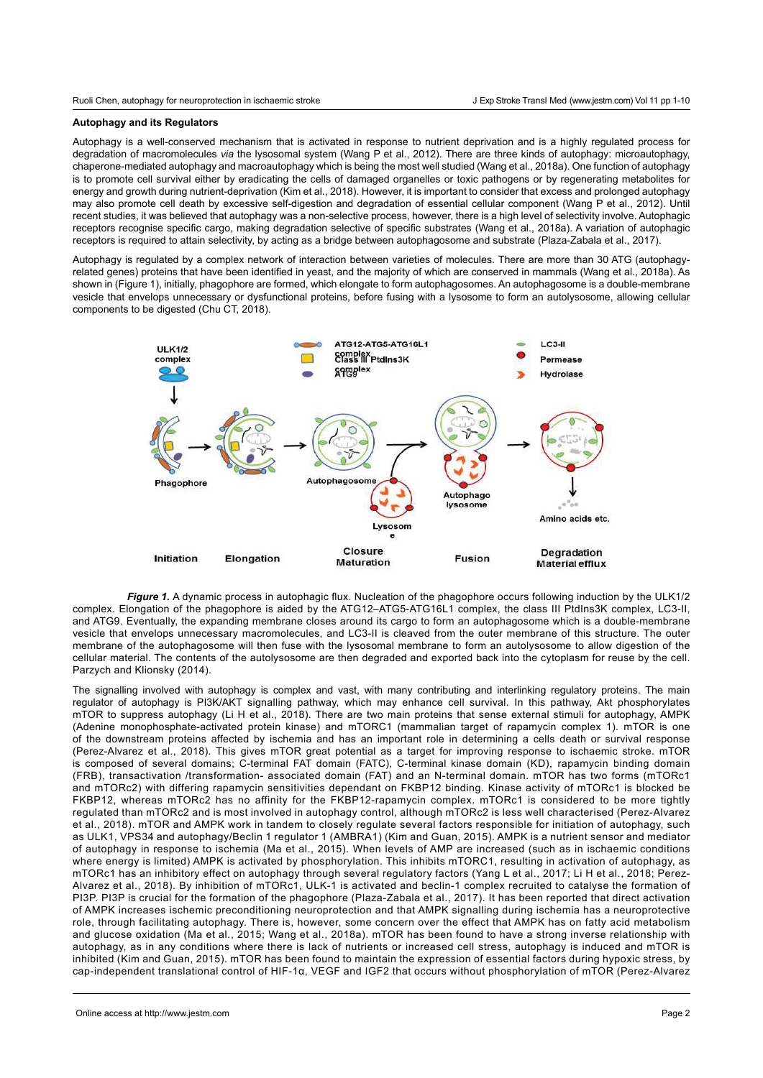# **Autophagy and its Regulators**

Autophagy is a well-conserved mechanism that is activated in response to nutrient deprivation and is a highly regulated process for degradation of macromolecules *via* the lysosomal system (Wang P et al., 2012). There are three kinds of autophagy: microautophagy, chaperone-mediated autophagy and macroautophagy which is being the most well studied (Wang et al., 2018a). One function of autophagy is to promote cell survival either by eradicating the cells of damaged organelles or toxic pathogens or by regenerating metabolites for energy and growth during nutrient-deprivation (Kim et al., 2018). However, it is important to consider that excess and prolonged autophagy may also promote cell death by excessive self-digestion and degradation of essential cellular component (Wang P et al., 2012). Until recent studies, it was believed that autophagy was a non-selective process, however, there is a high level of selectivity involve. Autophagic receptors recognise specific cargo, making degradation selective of specific substrates (Wang et al., 2018a). A variation of autophagic receptors is required to attain selectivity, by acting as a bridge between autophagosome and substrate (Plaza-Zabala et al., 2017).

Autophagy is regulated by a complex network of interaction between varieties of molecules. There are more than 30 ATG (autophagyrelated genes) proteins that have been identified in yeast, and the majority of which are conserved in mammals (Wang et al., 2018a). As shown in (Figure 1), initially, phagophore are formed, which elongate to form autophagosomes. An autophagosome is a double-membrane vesicle that envelops unnecessary or dysfunctional proteins, before fusing with a lysosome to form an autolysosome, allowing cellular components to be digested (Chu CT, 2018).



Figure 1. A dynamic process in autophagic flux. Nucleation of the phagophore occurs following induction by the ULK1/2 complex. Elongation of the phagophore is aided by the ATG12–ATG5-ATG16L1 complex, the class III PtdIns3K complex, LC3-II, and ATG9. Eventually, the expanding membrane closes around its cargo to form an autophagosome which is a double-membrane vesicle that envelops unnecessary macromolecules, and LC3-II is cleaved from the outer membrane of this structure. The outer membrane of the autophagosome will then fuse with the lysosomal membrane to form an autolysosome to allow digestion of the cellular material. The contents of the autolysosome are then degraded and exported back into the cytoplasm for reuse by the cell. Parzych and Klionsky (2014).

The signalling involved with autophagy is complex and vast, with many contributing and interlinking regulatory proteins. The main regulator of autophagy is PI3K/AKT signalling pathway, which may enhance cell survival. In this pathway, Akt phosphorylates mTOR to suppress autophagy (Li H et al., 2018). There are two main proteins that sense external stimuli for autophagy, AMPK (Adenine monophosphate-activated protein kinase) and mTORC1 (mammalian target of rapamycin complex 1). mTOR is one of the downstream proteins affected by ischemia and has an important role in determining a cells death or survival response (Perez-Alvarez et al., 2018). This gives mTOR great potential as a target for improving response to ischaemic stroke. mTOR is composed of several domains; C-terminal FAT domain (FATC), C-terminal kinase domain (KD), rapamycin binding domain (FRB), transactivation /transformation- associated domain (FAT) and an N-terminal domain. mTOR has two forms (mTORc1 and mTORc2) with differing rapamycin sensitivities dependant on FKBP12 binding. Kinase activity of mTORc1 is blocked be FKBP12, whereas mTORc2 has no affinity for the FKBP12-rapamycin complex. mTORc1 is considered to be more tightly regulated than mTORc2 and is most involved in autophagy control, although mTORc2 is less well characterised (Perez-Alvarez et al., 2018). mTOR and AMPK work in tandem to closely regulate several factors responsible for initiation of autophagy, such as ULK1, VPS34 and autophagy/Beclin 1 regulator 1 (AMBRA1) (Kim and Guan, 2015). AMPK is a nutrient sensor and mediator of autophagy in response to ischemia (Ma et al., 2015). When levels of AMP are increased (such as in ischaemic conditions where energy is limited) AMPK is activated by phosphorylation. This inhibits mTORC1, resulting in activation of autophagy, as mTORc1 has an inhibitory effect on autophagy through several regulatory factors (Yang L et al., 2017; Li H et al., 2018; Perez-Alvarez et al., 2018). By inhibition of mTORc1, ULK-1 is activated and beclin-1 complex recruited to catalyse the formation of PI3P. PI3P is crucial for the formation of the phagophore (Plaza-Zabala et al., 2017). It has been reported that direct activation of AMPK increases ischemic preconditioning neuroprotection and that AMPK signalling during ischemia has a neuroprotective role, through facilitating autophagy. There is, however, some concern over the effect that AMPK has on fatty acid metabolism and glucose oxidation (Ma et al., 2015; Wang et al., 2018a). mTOR has been found to have a strong inverse relationship with autophagy, as in any conditions where there is lack of nutrients or increased cell stress, autophagy is induced and mTOR is inhibited (Kim and Guan, 2015). mTOR has been found to maintain the expression of essential factors during hypoxic stress, by cap-independent translational control of HIF-1α, VEGF and IGF2 that occurs without phosphorylation of mTOR (Perez-Alvarez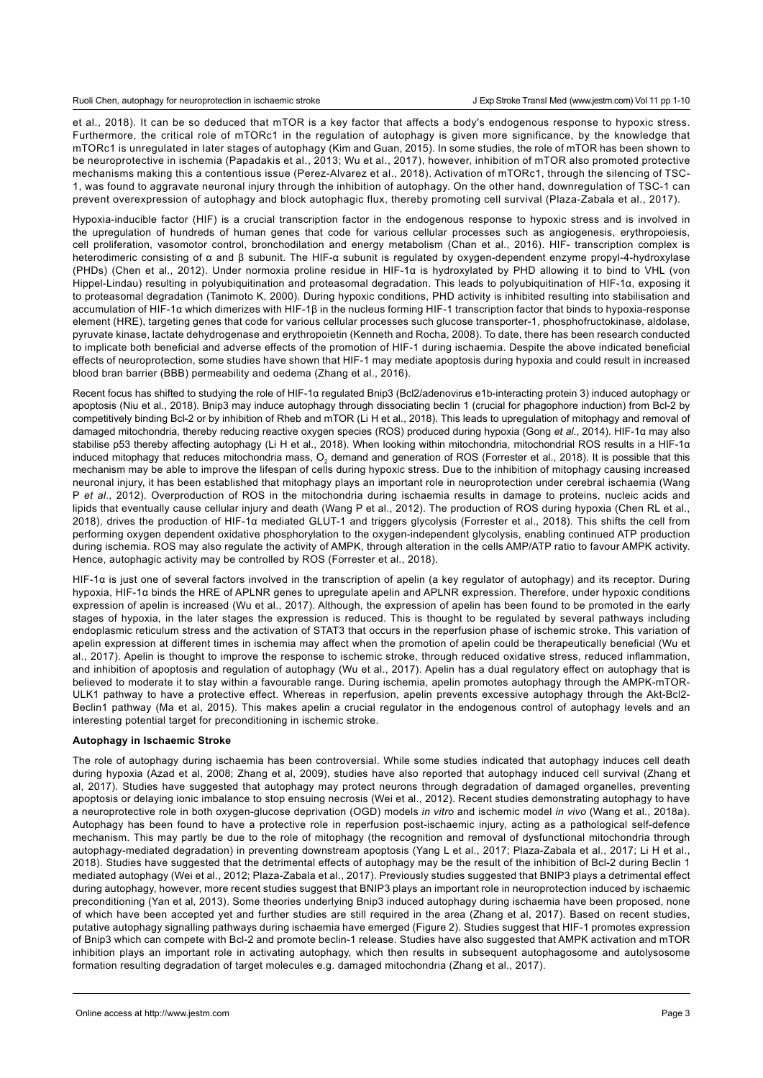Ruoli Chen, autophagy for neuroprotection in ischaemic stroke

et al., 2018). It can be so deduced that mTOR is a key factor that affects a body's endogenous response to hypoxic stress. Furthermore, the critical role of mTORc1 in the regulation of autophagy is given more significance, by the knowledge that mTORc1 is unregulated in later stages of autophagy (Kim and Guan, 2015). In some studies, the role of mTOR has been shown to be neuroprotective in ischemia (Papadakis et al., 2013; Wu et al., 2017), however, inhibition of mTOR also promoted protective mechanisms making this a contentious issue (Perez-Alvarez et al., 2018). Activation of mTORc1, through the silencing of TSC-1, was found to aggravate neuronal injury through the inhibition of autophagy. On the other hand, downregulation of TSC-1 can prevent overexpression of autophagy and block autophagic flux, thereby promoting cell survival (Plaza-Zabala et al., 2017).

Hypoxia-inducible factor (HIF) is a crucial transcription factor in the endogenous response to hypoxic stress and is involved in the upregulation of hundreds of human genes that code for various cellular processes such as angiogenesis, erythropoiesis, cell proliferation, vasomotor control, bronchodilation and energy metabolism (Chan et al., 2016). HIF- transcription complex is heterodimeric consisting of α and β subunit. The HIF-α subunit is regulated by oxygen-dependent enzyme propyl-4-hydroxylase (PHDs) (Chen et al., 2012). Under normoxia proline residue in HIF-1α is hydroxylated by PHD allowing it to bind to VHL (von Hippel-Lindau) resulting in polyubiquitination and proteasomal degradation. This leads to polyubiquitination of HIF-1α, exposing it to proteasomal degradation (Tanimoto K, 2000). During hypoxic conditions, PHD activity is inhibited resulting into stabilisation and accumulation of HIF-1α which dimerizes with HIF-1β in the nucleus forming HIF-1 transcription factor that binds to hypoxia-response element (HRE), targeting genes that code for various cellular processes such glucose transporter-1, phosphofructokinase, aldolase, pyruvate kinase, lactate dehydrogenase and erythropoietin (Kenneth and Rocha, 2008). To date, there has been research conducted to implicate both beneficial and adverse effects of the promotion of HIF-1 during ischaemia. Despite the above indicated beneficial effects of neuroprotection, some studies have shown that HIF-1 may mediate apoptosis during hypoxia and could result in increased blood bran barrier (BBB) permeability and oedema (Zhang et al., 2016).

Recent focus has shifted to studying the role of HIF-1α regulated Bnip3 (Bcl2/adenovirus e1b-interacting protein 3) induced autophagy or apoptosis (Niu et al., 2018). Bnip3 may induce autophagy through dissociating beclin 1 (crucial for phagophore induction) from Bcl-2 by competitively binding Bcl-2 or by inhibition of Rheb and mTOR (Li H et al., 2018). This leads to upregulation of mitophagy and removal of damaged mitochondria, thereby reducing reactive oxygen species (ROS) produced during hypoxia (Gong *et al*., 2014). HIF-1α may also stabilise p53 thereby affecting autophagy (Li H et al., 2018). When looking within mitochondria, mitochondrial ROS results in a HIF-1α induced mitophagy that reduces mitochondria mass, O<sub>2</sub> demand and generation of ROS (Forrester et al., 2018). It is possible that this mechanism may be able to improve the lifespan of cells during hypoxic stress. Due to the inhibition of mitophagy causing increased neuronal injury, it has been established that mitophagy plays an important role in neuroprotection under cerebral ischaemia (Wang P *et al*., 2012). Overproduction of ROS in the mitochondria during ischaemia results in damage to proteins, nucleic acids and lipids that eventually cause cellular injury and death (Wang P et al., 2012). The production of ROS during hypoxia (Chen RL et al., 2018), drives the production of HIF-1α mediated GLUT-1 and triggers glycolysis (Forrester et al., 2018). This shifts the cell from performing oxygen dependent oxidative phosphorylation to the oxygen-independent glycolysis, enabling continued ATP production during ischemia. ROS may also regulate the activity of AMPK, through alteration in the cells AMP/ATP ratio to favour AMPK activity. Hence, autophagic activity may be controlled by ROS (Forrester et al., 2018).

HIF-1α is just one of several factors involved in the transcription of apelin (a key regulator of autophagy) and its receptor. During hypoxia, HIF-1α binds the HRE of APLNR genes to upregulate apelin and APLNR expression. Therefore, under hypoxic conditions expression of apelin is increased (Wu et al., 2017). Although, the expression of apelin has been found to be promoted in the early stages of hypoxia, in the later stages the expression is reduced. This is thought to be regulated by several pathways including endoplasmic reticulum stress and the activation of STAT3 that occurs in the reperfusion phase of ischemic stroke. This variation of apelin expression at different times in ischemia may affect when the promotion of apelin could be therapeutically beneficial (Wu et al., 2017). Apelin is thought to improve the response to ischemic stroke, through reduced oxidative stress, reduced inflammation, and inhibition of apoptosis and regulation of autophagy (Wu et al., 2017). Apelin has a dual regulatory effect on autophagy that is believed to moderate it to stay within a favourable range. During ischemia, apelin promotes autophagy through the AMPK-mTOR-ULK1 pathway to have a protective effect. Whereas in reperfusion, apelin prevents excessive autophagy through the Akt-Bcl2- Beclin1 pathway (Ma et al, 2015). This makes apelin a crucial regulator in the endogenous control of autophagy levels and an interesting potential target for preconditioning in ischemic stroke.

## **Autophagy in Ischaemic Stroke**

The role of autophagy during ischaemia has been controversial. While some studies indicated that autophagy induces cell death during hypoxia (Azad et al, 2008; Zhang et al, 2009), studies have also reported that autophagy induced cell survival (Zhang et al, 2017). Studies have suggested that autophagy may protect neurons through degradation of damaged organelles, preventing apoptosis or delaying ionic imbalance to stop ensuing necrosis (Wei et al., 2012). Recent studies demonstrating autophagy to have a neuroprotective role in both oxygen-glucose deprivation (OGD) models *in vitro* and ischemic model *in vivo* (Wang et al., 2018a). Autophagy has been found to have a protective role in reperfusion post-ischaemic injury, acting as a pathological self-defence mechanism. This may partly be due to the role of mitophagy (the recognition and removal of dysfunctional mitochondria through autophagy-mediated degradation) in preventing downstream apoptosis (Yang L et al., 2017; Plaza-Zabala et al., 2017; Li H et al., 2018). Studies have suggested that the detrimental effects of autophagy may be the result of the inhibition of Bcl-2 during Beclin 1 mediated autophagy (Wei et al., 2012; Plaza-Zabala et al., 2017). Previously studies suggested that BNIP3 plays a detrimental effect during autophagy, however, more recent studies suggest that BNIP3 plays an important role in neuroprotection induced by ischaemic preconditioning (Yan et al, 2013). Some theories underlying Bnip3 induced autophagy during ischaemia have been proposed, none of which have been accepted yet and further studies are still required in the area (Zhang et al, 2017). Based on recent studies, putative autophagy signalling pathways during ischaemia have emerged (Figure 2). Studies suggest that HIF-1 promotes expression of Bnip3 which can compete with Bcl-2 and promote beclin-1 release. Studies have also suggested that AMPK activation and mTOR inhibition plays an important role in activating autophagy, which then results in subsequent autophagosome and autolysosome formation resulting degradation of target molecules e.g. damaged mitochondria (Zhang et al., 2017).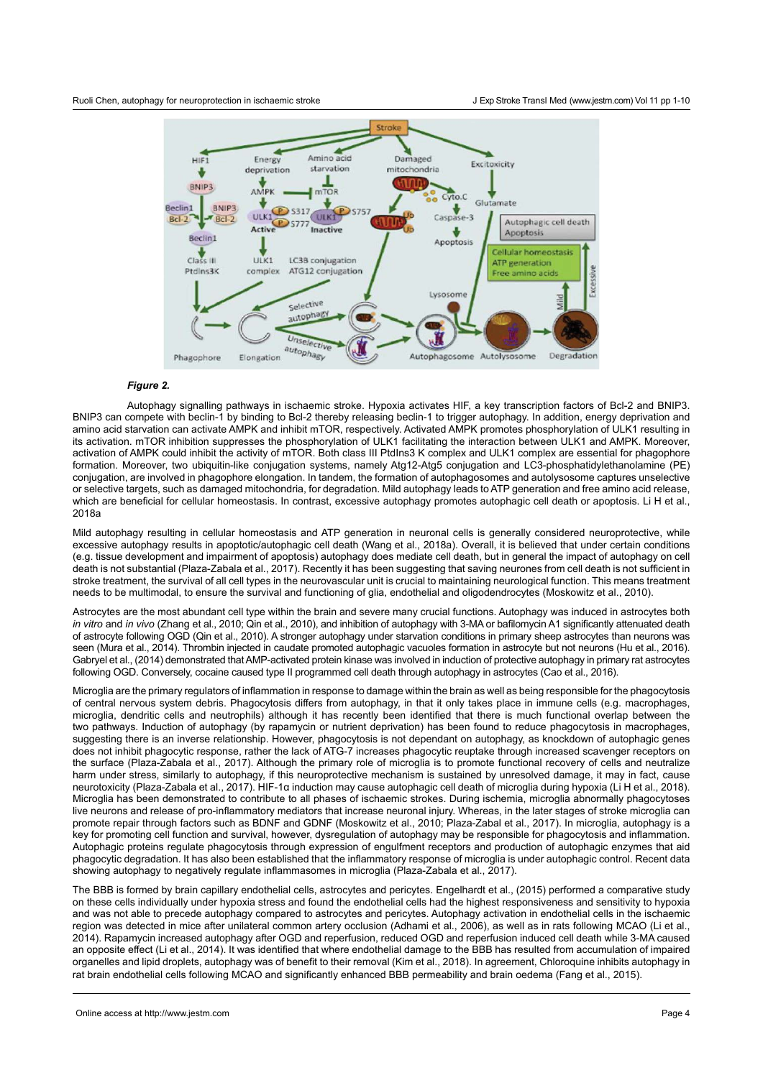#### Ruoli Chen, autophagy for neuroprotection in ischaemic stroke



# *Figure 2.*

Autophagy signalling pathways in ischaemic stroke. Hypoxia activates HIF, a key transcription factors of Bcl-2 and BNIP3. BNIP3 can compete with beclin-1 by binding to Bcl-2 thereby releasing beclin-1 to trigger autophagy. In addition, energy deprivation and amino acid starvation can activate AMPK and inhibit mTOR, respectively. Activated AMPK promotes phosphorylation of ULK1 resulting in its activation. mTOR inhibition suppresses the phosphorylation of ULK1 facilitating the interaction between ULK1 and AMPK. Moreover, activation of AMPK could inhibit the activity of mTOR. Both class III PtdIns3 K complex and ULK1 complex are essential for phagophore formation. Moreover, two ubiquitin-like conjugation systems, namely Atg12-Atg5 conjugation and LC3-phosphatidylethanolamine (PE) conjugation, are involved in phagophore elongation. In tandem, the formation of autophagosomes and autolysosome captures unselective or selective targets, such as damaged mitochondria, for degradation. Mild autophagy leads to ATP generation and free amino acid release, which are beneficial for cellular homeostasis. In contrast, excessive autophagy promotes autophagic cell death or apoptosis. Li H et al., 2018a

Mild autophagy resulting in cellular homeostasis and ATP generation in neuronal cells is generally considered neuroprotective, while excessive autophagy results in apoptotic/autophagic cell death (Wang et al., 2018a). Overall, it is believed that under certain conditions (e.g. tissue development and impairment of apoptosis) autophagy does mediate cell death, but in general the impact of autophagy on cell death is not substantial (Plaza-Zabala et al., 2017). Recently it has been suggesting that saving neurones from cell death is not sufficient in stroke treatment, the survival of all cell types in the neurovascular unit is crucial to maintaining neurological function. This means treatment needs to be multimodal, to ensure the survival and functioning of glia, endothelial and oligodendrocytes (Moskowitz et al., 2010).

Astrocytes are the most abundant cell type within the brain and severe many crucial functions. Autophagy was induced in astrocytes both *in vitro* and *in vivo* (Zhang et al., 2010; Qin et al., 2010), and inhibition of autophagy with 3-MA or bafilomycin A1 significantly attenuated death of astrocyte following OGD (Qin et al., 2010). A stronger autophagy under starvation conditions in primary sheep astrocytes than neurons was seen (Mura et al., 2014). Thrombin injected in caudate promoted autophagic vacuoles formation in astrocyte but not neurons (Hu et al., 2016). Gabryel et al., (2014) demonstrated that AMP-activated protein kinase was involved in induction of protective autophagy in primary rat astrocytes following OGD. Conversely, cocaine caused type II programmed cell death through autophagy in astrocytes (Cao et al., 2016).

Microglia are the primary regulators of inflammation in response to damage within the brain as well as being responsible for the phagocytosis of central nervous system debris. Phagocytosis differs from autophagy, in that it only takes place in immune cells (e.g. macrophages, microglia, dendritic cells and neutrophils) although it has recently been identified that there is much functional overlap between the two pathways. Induction of autophagy (by rapamycin or nutrient deprivation) has been found to reduce phagocytosis in macrophages, suggesting there is an inverse relationship. However, phagocytosis is not dependant on autophagy, as knockdown of autophagic genes does not inhibit phagocytic response, rather the lack of ATG-7 increases phagocytic reuptake through increased scavenger receptors on the surface (Plaza-Zabala et al., 2017). Although the primary role of microglia is to promote functional recovery of cells and neutralize harm under stress, similarly to autophagy, if this neuroprotective mechanism is sustained by unresolved damage, it may in fact, cause neurotoxicity (Plaza-Zabala et al., 2017). HIF-1α induction may cause autophagic cell death of microglia during hypoxia (Li H et al., 2018). Microglia has been demonstrated to contribute to all phases of ischaemic strokes. During ischemia, microglia abnormally phagocytoses live neurons and release of pro-inflammatory mediators that increase neuronal injury. Whereas, in the later stages of stroke microglia can promote repair through factors such as BDNF and GDNF (Moskowitz et al., 2010; Plaza-Zabal et al., 2017). In microglia, autophagy is a key for promoting cell function and survival, however, dysregulation of autophagy may be responsible for phagocytosis and inflammation. Autophagic proteins regulate phagocytosis through expression of engulfment receptors and production of autophagic enzymes that aid phagocytic degradation. It has also been established that the inflammatory response of microglia is under autophagic control. Recent data showing autophagy to negatively regulate inflammasomes in microglia ([Plaza-Zabala](https://www.ncbi.nlm.nih.gov/pubmed/?term=Plaza-Zabala A%5BAuthor%5D&cauthor=true&cauthor_uid=28282924) et al., 2017).

The BBB is formed by brain capillary endothelial cells, astrocytes and pericytes. Engelhardt et al., (2015) performed a comparative study on these cells individually under hypoxia stress and found the endothelial cells had the highest responsiveness and sensitivity to hypoxia and was not able to precede autophagy compared to astrocytes and pericytes. Autophagy activation in endothelial cells in the ischaemic region was detected in mice after unilateral common artery occlusion (Adhami et al., 2006), as well as in rats following MCAO (Li et al., 2014). Rapamycin increased autophagy after OGD and reperfusion, reduced OGD and reperfusion induced cell death while 3-MA caused an opposite effect (Li et al., 2014). It was identified that where endothelial damage to the BBB has resulted from accumulation of impaired organelles and lipid droplets, autophagy was of benefit to their removal (Kim et al., 2018). In agreement, Chloroquine inhibits autophagy in rat brain endothelial cells following MCAO and significantly enhanced BBB permeability and brain oedema (Fang et al., 2015).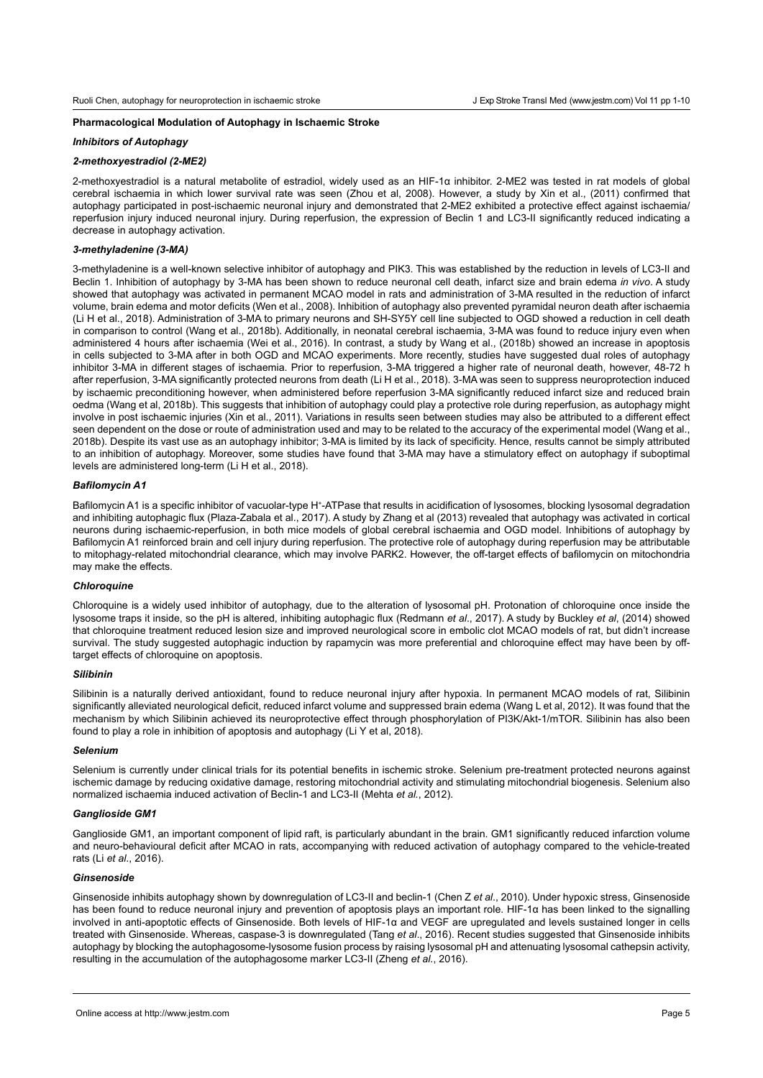## **Pharmacological Modulation of Autophagy in Ischaemic Stroke**

#### *Inhibitors of Autophagy*

## *2-methoxyestradiol (2-ME2)*

2-methoxyestradiol is a natural metabolite of estradiol, widely used as an HIF-1α inhibitor. 2-ME2 was tested in rat models of global cerebral ischaemia in which lower survival rate was seen (Zhou et al, 2008). However, a study by Xin et al., (2011) confirmed that autophagy participated in post-ischaemic neuronal injury and demonstrated that 2-ME2 exhibited a protective effect against ischaemia/ reperfusion injury induced neuronal injury. During reperfusion, the expression of Beclin 1 and LC3-II significantly reduced indicating a decrease in autophagy activation.

# *3-methyladenine (3-MA)*

3-methyladenine is a well-known selective inhibitor of autophagy and PIK3. This was established by the reduction in levels of LC3-II and Beclin 1. Inhibition of autophagy by 3-MA has been shown to reduce neuronal cell death, infarct size and brain edema *in vivo*. A study showed that autophagy was activated in permanent MCAO model in rats and administration of 3-MA resulted in the reduction of infarct volume, brain edema and motor deficits (Wen et al., 2008). Inhibition of autophagy also prevented pyramidal neuron death after ischaemia (Li H et al., 2018). Administration of 3-MA to primary neurons and SH-SY5Y cell line subjected to OGD showed a reduction in cell death in comparison to control (Wang et al., 2018b). Additionally, in neonatal cerebral ischaemia, 3-MA was found to reduce injury even when administered 4 hours after ischaemia (Wei et al., 2016). In contrast, a study by Wang et al., (2018b) showed an increase in apoptosis in cells subjected to 3-MA after in both OGD and MCAO experiments. More recently, studies have suggested dual roles of autophagy inhibitor 3-MA in different stages of ischaemia. Prior to reperfusion, 3-MA triggered a higher rate of neuronal death, however, 48-72 h after reperfusion, 3-MA significantly protected neurons from death (Li H et al., 2018). 3-MA was seen to suppress neuroprotection induced by ischaemic preconditioning however, when administered before reperfusion 3-MA significantly reduced infarct size and reduced brain oedma (Wang et al, 2018b). This suggests that inhibition of autophagy could play a protective role during reperfusion, as autophagy might involve in post ischaemic injuries (Xin et al., 2011). Variations in results seen between studies may also be attributed to a different effect seen dependent on the dose or route of administration used and may to be related to the accuracy of the experimental model (Wang et al., 2018b). Despite its vast use as an autophagy inhibitor; 3-MA is limited by its lack of specificity. Hence, results cannot be simply attributed to an inhibition of autophagy. Moreover, some studies have found that 3-MA may have a stimulatory effect on autophagy if suboptimal levels are administered long-term (Li H et al., 2018).

## *Bafilomycin A1*

Bafilomycin A1 is a specific inhibitor of [vacuolar-type H](https://en.wikipedia.org/wiki/V-ATPase)<sup>+</sup>-ATPase that results in acidification of lysosomes, blocking lysosomal degradation and inhibiting autophagic flux (Plaza-Zabala et al., 2017). A study by Zhang et al (2013) revealed that autophagy was activated in cortical neurons during ischaemic-reperfusion, in both mice models of global cerebral ischaemia and OGD model. Inhibitions of autophagy by Bafilomycin A1 reinforced brain and cell injury during reperfusion. The protective role of autophagy during reperfusion may be attributable to mitophagy-related mitochondrial clearance, which may involve PARK2. However, the off-target effects of bafilomycin on mitochondria may make the effects.

# *Chloroquine*

Chloroquine is a widely used inhibitor of autophagy, due to the alteration of lysosomal pH. Protonation of chloroquine once inside the lysosome traps it inside, so the pH is altered, inhibiting autophagic flux (Redmann *et al*., 2017). A study by Buckley *et al*, (2014) showed that chloroquine treatment reduced lesion size and improved neurological score in embolic clot MCAO models of rat, but didn't increase survival. The study suggested autophagic induction by rapamycin was more preferential and chloroquine effect may have been by offtarget effects of chloroquine on apoptosis.

#### *Silibinin*

Silibinin is a naturally derived antioxidant, found to reduce neuronal injury after hypoxia. In permanent MCAO models of rat, Silibinin significantly alleviated neurological deficit, reduced infarct volume and suppressed brain edema (Wang L et al, 2012). It was found that the mechanism by which Silibinin achieved its neuroprotective effect through phosphorylation of PI3K/Akt-1/mTOR. Silibinin has also been found to play a role in inhibition of apoptosis and autophagy (Li Y et al, 2018).

## *Selenium*

Selenium is currently under clinical trials for its potential benefits in ischemic stroke. Selenium pre-treatment protected neurons against ischemic damage by reducing oxidative damage, restoring mitochondrial activity and stimulating mitochondrial biogenesis. Selenium also normalized ischaemia induced activation of Beclin-1 and LC3-II (Mehta *et al.*, 2012).

#### *Ganglioside GM1*

Ganglioside GM1, an important component of lipid raft, is particularly abundant in the brain. GM1 significantly reduced infarction volume and neuro-behavioural deficit after MCAO in rats, accompanying with reduced activation of autophagy compared to the vehicle-treated rats (Li *et al*., 2016).

### *Ginsenoside*

Ginsenoside inhibits autophagy shown by downregulation of LC3-II and beclin-1 (Chen Z *et al*., 2010). Under hypoxic stress, Ginsenoside has been found to reduce neuronal injury and prevention of apoptosis plays an important role. HIF-1α has been linked to the signalling involved in anti-apoptotic effects of Ginsenoside. Both levels of HIF-1α and VEGF are upregulated and levels sustained longer in cells treated with Ginsenoside. Whereas, caspase-3 is downregulated (Tang *et al*., 2016). Recent studies suggested that Ginsenoside inhibits autophagy by blocking the autophagosome-lysosome fusion process by raising lysosomal pH and attenuating lysosomal cathepsin activity, resulting in the accumulation of the autophagosome marker LC3-II (Zheng *et al.*, 2016).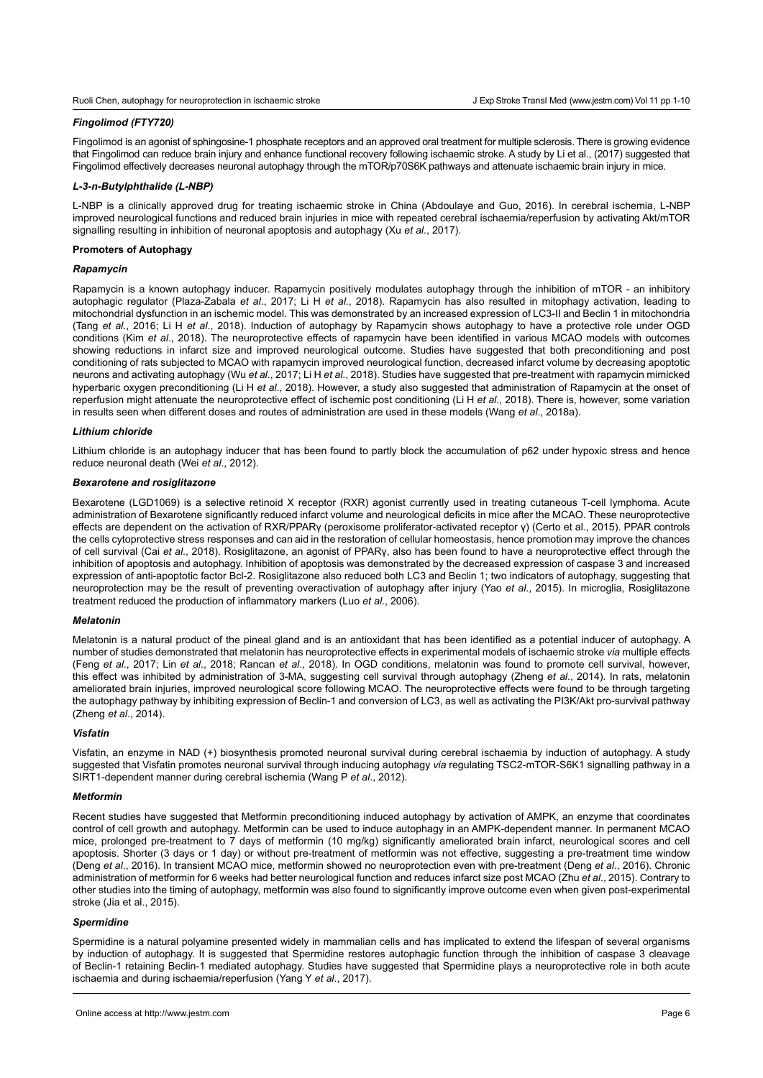## *Fingolimod (FTY720)*

Fingolimod is an agonist of sphingosine-1 phosphate receptors and an approved oral treatment for multiple sclerosis. There is growing evidence that Fingolimod can reduce brain injury and enhance functional recovery following ischaemic stroke. A study by Li et al., (2017) suggested that Fingolimod effectively decreases neuronal autophagy through the mTOR/p70S6K pathways and attenuate ischaemic brain injury in mice.

#### *L-3-n-Butylphthalide (L-NBP)*

L-NBP is a clinically approved drug for treating ischaemic stroke in China (Abdoulaye and Guo, 2016). In cerebral ischemia, L-NBP improved neurological functions and reduced brain injuries in mice with repeated cerebral ischaemia/reperfusion by activating Akt/mTOR signalling resulting in inhibition of neuronal apoptosis and autophagy (Xu *et al*., 2017).

#### **Promoters of Autophagy**

#### *Rapamycin*

Rapamycin is a known autophagy inducer. Rapamycin positively modulates autophagy through the inhibition of mTOR - an inhibitory autophagic regulator (Plaza-Zabala *et al*., 2017; Li H *et al*., 2018). Rapamycin has also resulted in mitophagy activation, leading to mitochondrial dysfunction in an ischemic model. This was demonstrated by an increased expression of LC3-II and Beclin 1 in mitochondria (Tang *et al*., 2016; Li H *et al*., 2018). Induction of autophagy by Rapamycin shows autophagy to have a protective role under OGD conditions (Kim *et al*., 2018). The neuroprotective effects of rapamycin have been identified in various MCAO models with outcomes showing reductions in infarct size and improved neurological outcome. Studies have suggested that both preconditioning and post conditioning of rats subjected to MCAO with rapamycin improved neurological function, decreased infarct volume by decreasing apoptotic neurons and activating autophagy (Wu *et al*., 2017; Li H *et al*., 2018). Studies have suggested that pre-treatment with rapamycin mimicked hyperbaric oxygen preconditioning (Li H *et al*., 2018). However, a study also suggested that administration of Rapamycin at the onset of reperfusion might attenuate the neuroprotective effect of ischemic post conditioning (Li H *et al*., 2018). There is, however, some variation in results seen when different doses and routes of administration are used in these models (Wang *et al*., 2018a).

## *Lithium chloride*

Lithium chloride is an autophagy inducer that has been found to partly block the accumulation of p62 under hypoxic stress and hence reduce neuronal death (Wei *et al*., 2012).

## *Bexarotene and rosiglitazone*

Bexarotene (LGD1069) is a selective retinoid X receptor (RXR) agonist currently used in treating cutaneous T-cell lymphoma. Acute administration of Bexarotene significantly reduced infarct volume and neurological deficits in mice after the MCAO. These neuroprotective effects are dependent on the activation of RXR/PPARγ (peroxisome proliferator-activated receptor γ) (Certo et al., 2015). PPAR controls the cells cytoprotective stress responses and can aid in the restoration of cellular homeostasis, hence promotion may improve the chances of cell survival (Cai *et al*., 2018). Rosiglitazone, an agonist of PPARγ, also has been found to have a neuroprotective effect through the inhibition of apoptosis and autophagy. Inhibition of apoptosis was demonstrated by the decreased expression of caspase 3 and increased expression of anti-apoptotic factor Bcl-2. Rosiglitazone also reduced both LC3 and Beclin 1; two indicators of autophagy, suggesting that neuroprotection may be the result of preventing overactivation of autophagy after injury (Yao *et al*., 2015). In microglia, Rosiglitazone treatment reduced the production of inflammatory markers (Luo *et al*., 2006).

#### *Melatonin*

Melatonin is a natural product of the pineal gland and is an antioxidant that has been identified as a potential inducer of autophagy. A number of studies demonstrated that melatonin has neuroprotective effects in experimental models of ischaemic stroke *via* multiple effects (Feng *et al*., 2017; Lin *et al*., 2018; Rancan *et al*., 2018). In OGD conditions, melatonin was found to promote cell survival, however, this effect was inhibited by administration of 3-MA, suggesting cell survival through autophagy (Zheng *et al*., 2014). In rats, melatonin ameliorated brain injuries, improved neurological score following MCAO. The neuroprotective effects were found to be through targeting the autophagy pathway by inhibiting expression of Beclin-1 and conversion of LC3, as well as activating the PI3K/Akt pro-survival pathway (Zheng *et al*., 2014).

## *Visfatin*

Visfatin, an enzyme in NAD (+) biosynthesis promoted neuronal survival during cerebral ischaemia by induction of autophagy. A study suggested that Visfatin promotes neuronal survival through inducing autophagy *via* regulating TSC2-mTOR-S6K1 signalling pathway in a SIRT1-dependent manner during cerebral ischemia (Wang P *et al*., 2012).

#### *Metformin*

Recent studies have suggested that Metformin preconditioning induced autophagy by activation of AMPK, an enzyme that coordinates control of cell growth and autophagy. Metformin can be used to induce autophagy in an AMPK-dependent manner. In permanent MCAO mice, prolonged pre-treatment to 7 days of metformin (10 mg/kg) significantly ameliorated brain infarct, neurological scores and cell apoptosis. Shorter (3 days or 1 day) or without pre-treatment of metformin was not effective, suggesting a pre-treatment time window (Deng *et al*., 2016). In transient MCAO mice, metformin showed no neuroprotection even with pre-treatment (Deng *et al*., 2016). Chronic administration of metformin for 6 weeks had better neurological function and reduces infarct size post MCAO (Zhu *et al*., 2015). Contrary to other studies into the timing of autophagy, metformin was also found to significantly improve outcome even when given post-experimental stroke (Jia et al., 2015).

#### *Spermidine*

Spermidine is a natural polyamine presented widely in mammalian cells and has implicated to extend the lifespan of several organisms by induction of autophagy. It is suggested that Spermidine restores autophagic function through the inhibition of caspase 3 cleavage of Beclin-1 retaining Beclin-1 mediated autophagy. Studies have suggested that Spermidine plays a neuroprotective role in both acute ischaemia and during ischaemia/reperfusion (Yang Y *et al*., 2017).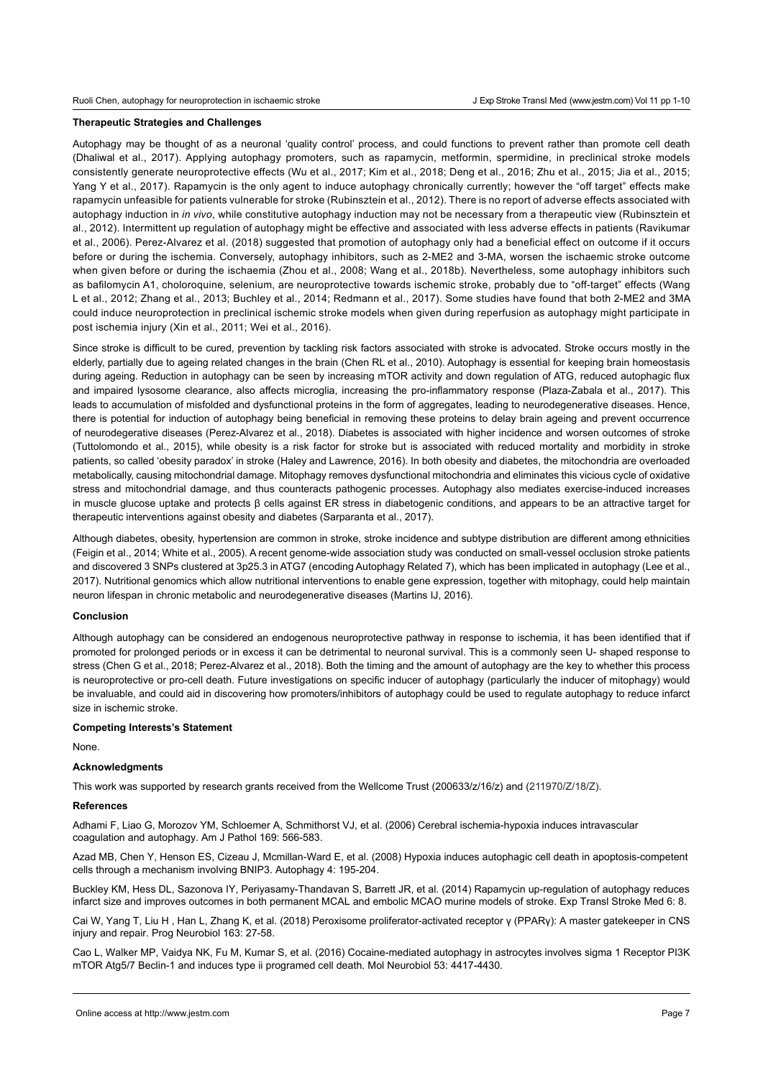# **Therapeutic Strategies and Challenges**

Autophagy may be thought of as a neuronal 'quality control' process, and could functions to prevent rather than promote cell death (Dhaliwal et al., 2017). Applying autophagy promoters, such as rapamycin, metformin, spermidine, in preclinical stroke models consistently generate neuroprotective effects (Wu et al., 2017; Kim et al., 2018; Deng et al., 2016; Zhu et al., 2015; Jia et al., 2015; Yang Y et al., 2017). Rapamycin is the only agent to induce autophagy chronically currently; however the "off target" effects make rapamycin unfeasible for patients vulnerable for stroke (Rubinsztein et al., 2012). There is no report of adverse effects associated with autophagy induction in *in vivo*, while constitutive autophagy induction may not be necessary from a therapeutic view (Rubinsztein et al., 2012). Intermittent up regulation of autophagy might be effective and associated with less adverse effects in patients (Ravikumar et al., 2006). Perez-Alvarez et al. (2018) suggested that promotion of autophagy only had a beneficial effect on outcome if it occurs before or during the ischemia. Conversely, autophagy inhibitors, such as 2-ME2 and 3-MA, worsen the ischaemic stroke outcome when given before or during the ischaemia (Zhou et al., 2008; Wang et al., 2018b). Nevertheless, some autophagy inhibitors such as bafilomycin A1, choloroquine, selenium, are neuroprotective towards ischemic stroke, probably due to "off-target" effects (Wang L et al., 2012; Zhang et al., 2013; Buchley et al., 2014; Redmann et al., 2017). Some studies have found that both 2-ME2 and 3MA could induce neuroprotection in preclinical ischemic stroke models when given during reperfusion as autophagy might participate in post ischemia injury (Xin et al., 2011; Wei et al., 2016).

Since stroke is difficult to be cured, prevention by tackling risk factors associated with stroke is advocated. Stroke occurs mostly in the elderly, partially due to ageing related changes in the brain (Chen RL et al., 2010). Autophagy is essential for keeping brain homeostasis during ageing. Reduction in autophagy can be seen by increasing mTOR activity and down regulation of ATG, reduced autophagic flux and impaired lysosome clearance, also affects microglia, increasing the pro-inflammatory response (Plaza-Zabala et al., 2017). This leads to accumulation of misfolded and dysfunctional proteins in the form of aggregates, leading to neurodegenerative diseases. Hence, there is potential for induction of autophagy being beneficial in removing these proteins to delay brain ageing and prevent occurrence of neurodegerative diseases (Perez-Alvarez et al., 2018). Diabetes is associated with higher incidence and worsen outcomes of stroke (Tuttolomondo et al., 2015), while obesity is a risk factor for stroke but is associated with reduced mortality and morbidity in stroke patients, so called 'obesity paradox' in stroke ([Haley](https://www.ncbi.nlm.nih.gov/pubmed/?term=Haley MJ%5BAuthor%5D&cauthor=true&cauthor_uid=27655337) and [Lawrence,](https://www.ncbi.nlm.nih.gov/pubmed/?term=Lawrence CB%5BAuthor%5D&cauthor=true&cauthor_uid=27655337) 2016). In both obesity and diabetes, the mitochondria are overloaded metabolically, causing mitochondrial damage. Mitophagy removes dysfunctional mitochondria and eliminates this vicious cycle of oxidative stress and mitochondrial damage, and thus counteracts pathogenic processes. Autophagy also mediates exercise-induced increases in muscle glucose uptake and protects β cells against ER stress in diabetogenic conditions, and appears to be an attractive target for therapeutic interventions against obesity and diabetes (Sarparanta et al., 2017).

Although diabetes, obesity, hypertension are common in stroke, stroke incidence and subtype distribution are different among ethnicities (Feigin et al., 2014; White et al., 2005). A recent genome-wide association study was conducted on small-vessel occlusion stroke patients and discovered 3 SNPs clustered at 3p25.3 in ATG7 (encoding Autophagy Related 7), which has been implicated in autophagy (Lee et al., 2017). Nutritional genomics which allow nutritional interventions to enable gene expression, together with mitophagy, could help maintain neuron lifespan in chronic metabolic and neurodegenerative diseases (Martins IJ, 2016).

## **Conclusion**

Although autophagy can be considered an endogenous neuroprotective pathway in response to ischemia, it has been identified that if promoted for prolonged periods or in excess it can be detrimental to neuronal survival. This is a commonly seen U- shaped response to stress (Chen G et al., 2018; Perez-Alvarez et al., 2018). Both the timing and the amount of autophagy are the key to whether this process is neuroprotective or pro-cell death. Future investigations on specific inducer of autophagy (particularly the inducer of mitophagy) would be invaluable, and could aid in discovering how promoters/inhibitors of autophagy could be used to regulate autophagy to reduce infarct size in ischemic stroke.

#### **Competing Interests's Statement**

None.

#### **Acknowledgments**

This work was supported by research grants received from the Wellcome Trust (200633/z/16/z) and (211970/Z/18/Z).

# **References**

Adhami F, Liao G, Morozov YM, Schloemer A, Schmithorst VJ, et al. (2006) [Cerebral ischemia-hypoxia induces intravascular](https://preview.ncbi.nlm.nih.gov/pubmed/16877357)  [coagulation and autophagy.](https://preview.ncbi.nlm.nih.gov/pubmed/16877357) Am J Pathol 169: 566-583.

Azad MB, Chen Y, Henson ES, Cizeau J, Mcmillan-Ward E, et al. (2008) Hypoxia induces autophagic cell death in apoptosis-competent cells through a mechanism involving BNIP3. Autophagy 4: 195-204.

Buckley KM, Hess DL, Sazonova IY, Periyasamy-Thandavan S, Barrett JR, et al. (2014) [Rapamycin up-regulation of autophagy reduces](https://www.ncbi.nlm.nih.gov/pubmed/24991402)  [infarct size and improves outcomes in both permanent MCAL and embolic MCAO murine models of stroke](https://www.ncbi.nlm.nih.gov/pubmed/24991402). Exp Transl Stroke Med 6: 8.

Cai W, Yang T, Liu H , Han L, Zhang K, et al. (2018) Peroxisome proliferator-activated receptor γ (PPARγ): A master gatekeeper in CNS injury and repair. Prog Neurobiol 163: 27-58.

[Cao L](https://preview.ncbi.nlm.nih.gov/pubmed/?term=Cao L%5BAuthor%5D&cauthor=true&cauthor_uid=26243186), [Walker MP,](https://preview.ncbi.nlm.nih.gov/pubmed/?term=Walker MP%5BAuthor%5D&cauthor=true&cauthor_uid=26243186) [Vaidya NK,](https://preview.ncbi.nlm.nih.gov/pubmed/?term=Vaidya NK%5BAuthor%5D&cauthor=true&cauthor_uid=26243186) [Fu M](https://preview.ncbi.nlm.nih.gov/pubmed/?term=Fu M%5BAuthor%5D&cauthor=true&cauthor_uid=26243186), [Kumar S](https://preview.ncbi.nlm.nih.gov/pubmed/?term=Kumar S%5BAuthor%5D&cauthor=true&cauthor_uid=26243186), [et](https://preview.ncbi.nlm.nih.gov/pubmed/?term=Kumar A%5BAuthor%5D&cauthor=true&cauthor_uid=26243186) al. (2016) Cocaine-mediated autophagy in astrocytes involves sigma 1 Receptor PI3K mTOR Atg5/7 Beclin-1 and induces type ii programed cell death. [Mol Neurobiol](https://preview.ncbi.nlm.nih.gov/pubmed/?term=53%2C+4417-4430) 53: 4417-4430.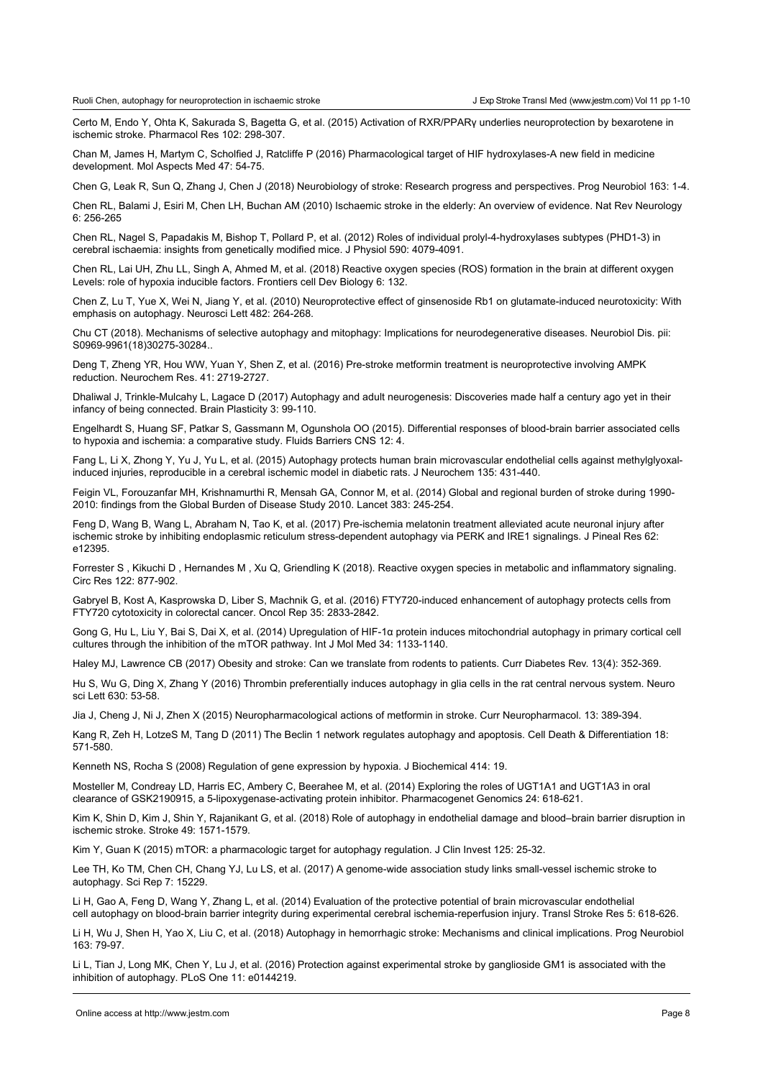[Certo](https://www.ncbi.nlm.nih.gov/pubmed/?term=Certo M%5BAuthor%5D&cauthor=true&cauthor_uid=26546745) M, [Endo Y,](https://www.ncbi.nlm.nih.gov/pubmed/?term=Endo Y%5BAuthor%5D&cauthor=true&cauthor_uid=26546745) [Ohta K](https://www.ncbi.nlm.nih.gov/pubmed/?term=Ohta K%5BAuthor%5D&cauthor=true&cauthor_uid=26546745), [Sakurada S](https://www.ncbi.nlm.nih.gov/pubmed/?term=Sakurada S%5BAuthor%5D&cauthor=true&cauthor_uid=26546745), [Bagetta G,](https://www.ncbi.nlm.nih.gov/pubmed/?term=Bagetta G%5BAuthor%5D&cauthor=true&cauthor_uid=26546745) [et](https://www.ncbi.nlm.nih.gov/pubmed/?term=Amantea D%5BAuthor%5D&cauthor=true&cauthor_uid=26546745) al. (2015) Activation of RXR/PPARγ underlies neuroprotection by bexarotene in ischemic stroke. [Pharmacol Res](https://www.ncbi.nlm.nih.gov/pubmed/?term=certo%2C+ppar) 102: 298-307.

Chan M, James H, Martym C, Scholfied J, Ratcliffe P (2016) Pharmacological target of HIF hydroxylases-A new field in medicine development. Mol Aspects Med 47: 54-75.

Chen G, Leak R, Sun Q, Zhang J, Chen J (2018) Neurobiology of stroke: Research progress and perspectives. Prog Neurobiol 163: 1-4.

Chen RL, Balami J, Esiri M, Chen LH, Buchan AM (2010) Ischaemic stroke in the elderly: An overview of evidence. Nat Rev Neurology 6: 256-265

Chen RL, Nagel S, Papadakis M, Bishop T, Pollard P, et al. (2012) Roles of individual prolyl-4-hydroxylases subtypes (PHD1-3) in cerebral ischaemia: insights from genetically modified mice. J Physiol 590: 4079-4091.

Chen RL, Lai UH, Zhu LL, Singh A, Ahmed M, et al. (2018) Reactive oxygen species (ROS) formation in the brain at different oxygen Levels: role of hypoxia inducible factors. Frontiers cell Dev Biology 6: 132.

Chen Z, Lu T, Yue X, Wei N, Jiang Y, et al. (2010) Neuroprotective effect of ginsenoside Rb1 on glutamate-induced neurotoxicity: With emphasis on autophagy. Neurosci Lett 482: 264-268.

Chu CT (2018). Mechanisms of selective autophagy and mitophagy: Implications for neurodegenerative diseases. Neurobiol Dis. pii: S0969-9961(18)30275-30284..

[Deng T,](https://preview.ncbi.nlm.nih.gov/pubmed/?term=Deng T%5BAuthor%5D&cauthor=true&cauthor_uid=27350579) [Zheng YR](https://preview.ncbi.nlm.nih.gov/pubmed/?term=Zheng YR%5BAuthor%5D&cauthor=true&cauthor_uid=27350579), [Hou WW,](https://preview.ncbi.nlm.nih.gov/pubmed/?term=Hou WW%5BAuthor%5D&cauthor=true&cauthor_uid=27350579) [Yuan Y,](https://preview.ncbi.nlm.nih.gov/pubmed/?term=Yuan Y%5BAuthor%5D&cauthor=true&cauthor_uid=27350579) [Shen Z](https://preview.ncbi.nlm.nih.gov/pubmed/?term=Shen Z%5BAuthor%5D&cauthor=true&cauthor_uid=27350579), et al. (2016) Pre-stroke metformin treatment is neuroprotective involving AMPK reduction. [Neurochem Res.](https://preview.ncbi.nlm.nih.gov/pubmed/27350579) 41: 2719-2727.

Dhaliwal J, Trinkle-Mulcahy L, Lagace D (2017) Autophagy and adult neurogenesis: Discoveries made half a century ago yet in their infancy of being connected. Brain Plasticity 3: 99-110.

Engelhardt S, Huang SF, Patkar S, Gassmann M, Ogunshola OO (2015). [Differential responses of blood-brain barrier associated cells](https://www.ncbi.nlm.nih.gov/pubmed/25879623)  [to hypoxia and ischemia: a comparative study. Fl](https://www.ncbi.nlm.nih.gov/pubmed/25879623)uids Barriers CNS 12: 4.

[Fang L,](https://preview.ncbi.nlm.nih.gov/pubmed/?term=Fang L%5BAuthor%5D&cauthor=true&cauthor_uid=26251121) [Li X,](https://preview.ncbi.nlm.nih.gov/pubmed/?term=Li X%5BAuthor%5D&cauthor=true&cauthor_uid=26251121) [Zhong Y,](https://preview.ncbi.nlm.nih.gov/pubmed/?term=Zhong Y%5BAuthor%5D&cauthor=true&cauthor_uid=26251121) [Yu J,](https://preview.ncbi.nlm.nih.gov/pubmed/?term=Yu J%5BAuthor%5D&cauthor=true&cauthor_uid=26251121) [Yu L,](https://preview.ncbi.nlm.nih.gov/pubmed/?term=Yu L%5BAuthor%5D&cauthor=true&cauthor_uid=26251121) et al. (2015) Autophagy protects human brain microvascular endothelial cells against methylglyoxalinduced injuries, reproducible in a cerebral ischemic model in diabetic rats. [J Neurochem](https://preview.ncbi.nlm.nih.gov/pubmed/?term=fang%2C+431-440) 135: 431-440.

Feigin VL, Forouzanfar MH, Krishnamurthi R, Mensah GA, Connor M, et al. (2014) Global and regional burden of stroke during 1990- 2010: findings from the Global Burden of Disease Study 2010. Lancet 383: 245-254.

[Feng D,](https://preview.ncbi.nlm.nih.gov/pubmed/?term=Feng D%5BAuthor%5D&cauthor=true&cauthor_uid=28178380) [Wang B,](https://preview.ncbi.nlm.nih.gov/pubmed/?term=Wang B%5BAuthor%5D&cauthor=true&cauthor_uid=28178380) [Wang L,](https://preview.ncbi.nlm.nih.gov/pubmed/?term=Wang L%5BAuthor%5D&cauthor=true&cauthor_uid=28178380) [Abraham N,](https://preview.ncbi.nlm.nih.gov/pubmed/?term=Abraham N%5BAuthor%5D&cauthor=true&cauthor_uid=28178380) [Tao K,](https://preview.ncbi.nlm.nih.gov/pubmed/?term=Tao K%5BAuthor%5D&cauthor=true&cauthor_uid=28178380) et al. (2017) Pre-ischemia melatonin treatment alleviated acute neuronal injury after ischemic stroke by inhibiting endoplasmic reticulum stress-dependent autophagy via PERK and IRE1 signalings. [J Pineal Res](https://preview.ncbi.nlm.nih.gov/pubmed/?term=10.1111%2Fjpi.12395) 62: e12395.

Forrester S , Kikuchi D , Hernandes M , Xu Q, Griendling K (2018). Reactive oxygen species in metabolic and inflammatory signaling. Circ Res 122: 877-902.

Gabryel B, Kost A, Kasprowska D, Liber S, Machnik G, et al. (2016) [FTY720-induced enhancement of autophagy protects cells from](https://www.ncbi.nlm.nih.gov/pubmed/26985637)  [FTY720 cytotoxicity in](https://www.ncbi.nlm.nih.gov/pubmed/26985637) colorectal cancer. Oncol Rep 35: 2833-2842.

Gong G, Hu L, Liu Y, Bai S, Dai X, et al. (2014) Upregulation of HIF-1α protein induces mitochondrial autophagy in primary cortical cell cultures through the inhibition of the mTOR pathway. Int J Mol Med 34: 1133-1140.

[Haley](https://www.ncbi.nlm.nih.gov/pubmed/?term=Haley MJ%5BAuthor%5D&cauthor=true&cauthor_uid=27655337) MJ, [Lawrence](https://www.ncbi.nlm.nih.gov/pubmed/?term=Lawrence CB%5BAuthor%5D&cauthor=true&cauthor_uid=27655337) CB (2017) Obesity and stroke: Can we translate from rodents to patients. Curr Diabetes Rev. 13(4): 352-369.

Hu S, Wu G, Ding X, Zhang Y (2016) Thrombin [preferentially induces autophagy in glia cells in the rat central nervous system. N](https://www.ncbi.nlm.nih.gov/pubmed/27431453)euro sci Lett 630: 53-58.

Jia J, Cheng J, Ni J, Zhen X (2015) Neuropharmacological actions of metformin in stroke. Curr Neuropharmacol. 13: 389-394.

Kang R, Zeh H, LotzeS M, Tang D (2011) The Beclin 1 network regulates autophagy and apoptosis. Cell Death & Differentiation 18: 571-580.

Kenneth NS, Rocha S (2008) Regulation of gene expression by hypoxia. J Biochemical 414: 19.

Mosteller M, Condreay LD, Harris EC, Ambery C, Beerahee M, et al. (2014) Exploring the roles of UGT1A1 and UGT1A3 in oral clearance of GSK2190915, a 5-lipoxygenase-activating protein inhibitor. Pharmacogenet Genomics 24: 618-621.

Kim K, Shin D, Kim J, Shin Y, Rajanikant G, et al. (2018) Role of autophagy in endothelial damage and blood–brain barrier disruption in ischemic stroke. Stroke 49: 1571-1579.

Kim Y, Guan K (2015) mTOR: a pharmacologic target for autophagy regulation. J Clin Invest 125: 25-32.

Lee TH, Ko TM, Chen CH, Chang YJ, Lu LS, et al. (2017) A [genome-wide association study links small-vessel ischemic stroke to](https://www.ncbi.nlm.nih.gov/pubmed/29123153)  [autophagy.](https://www.ncbi.nlm.nih.gov/pubmed/29123153) Sci Rep 7: 15229.

[Li H,](https://preview.ncbi.nlm.nih.gov/pubmed/?term=Li H%5BAuthor%5D&cauthor=true&cauthor_uid=25070048) [Gao A](https://preview.ncbi.nlm.nih.gov/pubmed/?term=Gao A%5BAuthor%5D&cauthor=true&cauthor_uid=25070048), [Feng D,](https://preview.ncbi.nlm.nih.gov/pubmed/?term=Feng D%5BAuthor%5D&cauthor=true&cauthor_uid=25070048) [Wang Y,](https://preview.ncbi.nlm.nih.gov/pubmed/?term=Wang Y%5BAuthor%5D&cauthor=true&cauthor_uid=25070048) [Zhang L](https://preview.ncbi.nlm.nih.gov/pubmed/?term=Zhang L%5BAuthor%5D&cauthor=true&cauthor_uid=25070048), et al. (2014) Evaluation of the protective potential of brain microvascular endothelial cell autophagy on blood-brain barrier integrity during experimental cerebral ischemia-reperfusion injury. [Transl Stroke Res](https://preview.ncbi.nlm.nih.gov/pubmed/?term=BMVEC+autophagy) 5: 618-626.

Li H, Wu J, Shen H, Yao X, Liu C, et al. (2018) Autophagy in hemorrhagic stroke: Mechanisms and clinical implications. Prog Neurobiol 163: 79-97.

[Li L,](https://preview.ncbi.nlm.nih.gov/pubmed/?term=Li L%5BAuthor%5D&cauthor=true&cauthor_uid=26751695) [Tian J,](https://preview.ncbi.nlm.nih.gov/pubmed/?term=Tian J%5BAuthor%5D&cauthor=true&cauthor_uid=26751695) [Long MK](https://preview.ncbi.nlm.nih.gov/pubmed/?term=Long MK%5BAuthor%5D&cauthor=true&cauthor_uid=26751695), [Chen Y](https://preview.ncbi.nlm.nih.gov/pubmed/?term=Chen Y%5BAuthor%5D&cauthor=true&cauthor_uid=26751695), [Lu J](https://preview.ncbi.nlm.nih.gov/pubmed/?term=Lu J%5BAuthor%5D&cauthor=true&cauthor_uid=26751695), et al. (2016) Protection against experimental stroke by ganglioside GM1 is associated with the inhibition of autophagy. [PLoS One](https://preview.ncbi.nlm.nih.gov/pubmed/?term=e0144219) 11: e0144219.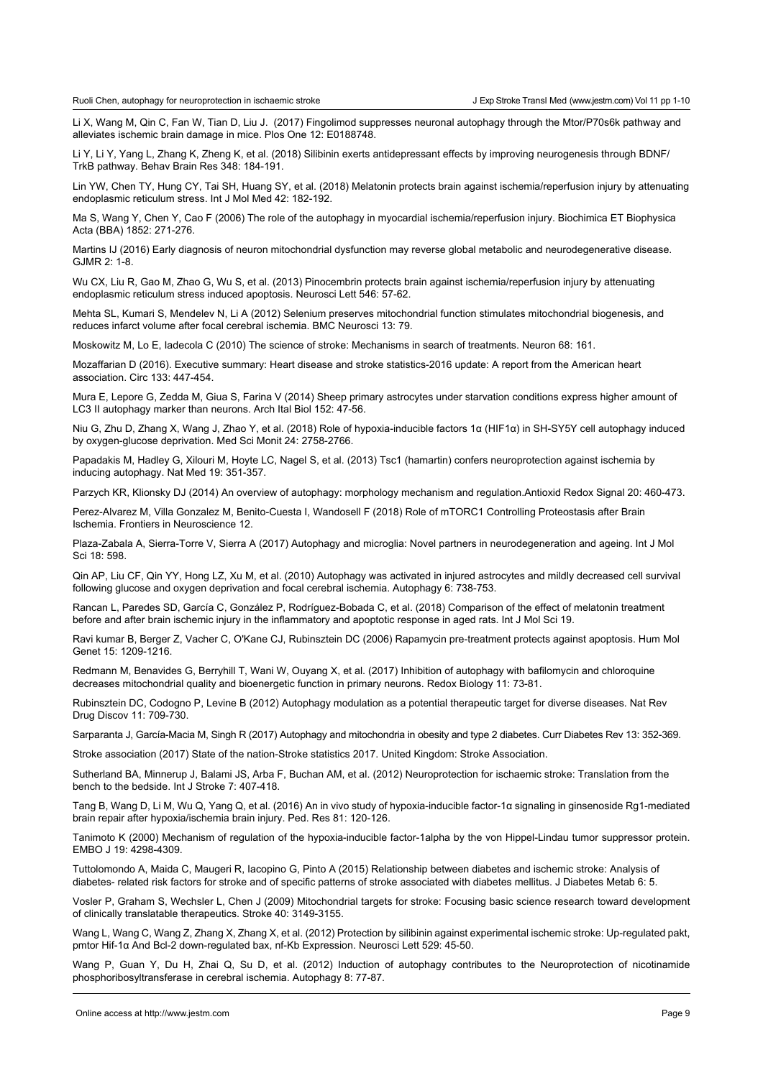Li X, Wang M, Qin C, Fan W, Tian D, Liu J. (2017) Fingolimod suppresses neuronal autophagy through the Mtor/P70s6k pathway and alleviates ischemic brain damage in mice. Plos One 12: E0188748.

Li Y, Li Y, Yang L, Zhang K, Zheng K, et al. (2018) Silibinin exerts antidepressant effects by improving neurogenesis through BDNF/ TrkB pathway. Behav Brain Res 348: 184-191.

Lin YW, Chen TY, Hung CY, Tai SH, Huang SY, et al. (2018) [Melatonin protects brain against ischemia/reperfusion injury by attenuating](https://preview.ncbi.nlm.nih.gov/pubmed/29620280)  [endoplasmic reticulum stress.](https://preview.ncbi.nlm.nih.gov/pubmed/29620280) Int J Mol Med 42: 182-192.

Ma S, Wang Y, Chen Y, Cao F (2006) The role of the autophagy in myocardial ischemia/reperfusion injury. Biochimica ET Biophysica Acta (BBA) 1852: 271-276.

Martins IJ (2016) Early diagnosis of neuron mitochondrial dysfunction may reverse global metabolic and neurodegenerative disease. GJMR 2: 1-8.

Wu CX, Liu R, Gao M, Zhao G, Wu S, et al. (2013) Pinocembrin protects brain against ischemia/reperfusion injury by attenuating endoplasmic reticulum stress induced apoptosis. Neurosci Lett 546: 57-62.

Mehta SL, Kumari S, Mendelev N, Li A (2012) Selenium preserves mitochondrial function stimulates mitochondrial biogenesis, and reduces infarct volume after focal cerebral ischemia. BMC Neurosci 13: 79.

Moskowitz M, Lo E, Iadecola C (2010) The science of stroke: Mechanisms in search of treatments. Neuron 68: 161.

Mozaffarian D (2016). Executive summary: Heart disease and stroke statistics-2016 update: A report from the American heart association. Circ 133: 447-454.

Mura E, Lepore G, Zedda M, Giua S, Farina V (2014) [Sheep primary astrocytes under starvation conditions express higher amount of](https://preview.ncbi.nlm.nih.gov/pubmed/25181596)  [LC3 II autophagy marker than neurons.](https://preview.ncbi.nlm.nih.gov/pubmed/25181596) Arch Ital Biol 152: 47-56.

Niu G, Zhu D, Zhang X, Wang J, Zhao Y, et al. (2018) [Role of hypoxia-inducible factors 1α \(HIF1α\) in SH-SY5Y](https://www.ncbi.nlm.nih.gov/pubmed/29724989) cell autophagy induced [by oxygen-glucose deprivation](https://www.ncbi.nlm.nih.gov/pubmed/29724989). Med Sci Monit 24: 2758-2766.

Papadakis M, Hadley G, Xilouri M, Hoyte LC, Nagel S, et al. (2013) [Tsc1 \(hamartin\) confers neuroprotection against ischemia by](http://www.ncbi.nlm.nih.gov/pubmed/23435171)  [inducing autophagy.](http://www.ncbi.nlm.nih.gov/pubmed/23435171) Nat Med 19: 351-357.

Parzych KR, Klionsky DJ (2014) [An overview of autophagy: morphology mechanism and regulation.](https://www.ncbi.nlm.nih.gov/pubmed/23725295)Antioxid Redox Signal 20: 460-473.

Perez-Alvarez M, Villa Gonzalez M, Benito-Cuesta I, Wandosell F (2018) Role of mTORC1 Controlling Proteostasis after Brain Ischemia. Frontiers in Neuroscience 12.

Plaza-Zabala A, Sierra-Torre V, Sierra A (2017) Autophagy and microglia: Novel partners in neurodegeneration and ageing. Int J Mol Sci 18: 598.

Qin AP, Liu CF, Qin YY, Hong LZ, Xu M, et al. (2010) [Autophagy was activated in injured](https://www.ncbi.nlm.nih.gov/pubmed/20574158) astrocytes and mildly decreased cell survival [following glucose and oxygen deprivation and focal cerebral ischemia. A](https://www.ncbi.nlm.nih.gov/pubmed/20574158)utophagy 6: 738-753.

[Rancan L,](https://preview.ncbi.nlm.nih.gov/pubmed/?term=Rancan L%5BAuthor%5D&cauthor=true&cauthor_uid=30029514) [Paredes SD,](https://preview.ncbi.nlm.nih.gov/pubmed/?term=Paredes SD%5BAuthor%5D&cauthor=true&cauthor_uid=30029514) [García C,](https://preview.ncbi.nlm.nih.gov/pubmed/?term=Garc%C3%ADa C%5BAuthor%5D&cauthor=true&cauthor_uid=30029514) [González P,](https://preview.ncbi.nlm.nih.gov/pubmed/?term=Gonz%C3%A1lez P%5BAuthor%5D&cauthor=true&cauthor_uid=30029514) [Rodríguez-Bobada C](https://preview.ncbi.nlm.nih.gov/pubmed/?term=Rodr%C3%ADguez-Bobada C%5BAuthor%5D&cauthor=true&cauthor_uid=30029514), et al. (2018) Comparison of the effect of melatonin treatment before and after brain ischemic injury in the inflammatory and apoptotic response in aged rats. [Int J Mol Sci](https://preview.ncbi.nlm.nih.gov/pubmed/30029514) 19.

Ravi kumar B, Berger Z, Vacher C, O'Kane CJ, Rubinsztein DC (2006) Rapamycin pre-treatment protects against apoptosis. Hum Mol Genet 15: 1209-1216.

Redmann M, Benavides G, Berryhill T, Wani W, Ouyang X, et al. (2017) Inhibition of autophagy with bafilomycin and chloroquine decreases mitochondrial quality and bioenergetic function in primary neurons. Redox Biology 11: 73-81.

Rubinsztein DC, Codogno P, Levine B (2012) [Autophagy modulation as a potential therapeutic target for diverse diseases.](https://www.ncbi.nlm.nih.gov/pubmed/22935804) Nat Rev Drug Discov 11: 709-730.

[Sarparanta J,](https://www.ncbi.nlm.nih.gov/pubmed/?term=Sarparanta J%5BAuthor%5D&cauthor=true&cauthor_uid=26900135) [García-Macia M,](https://www.ncbi.nlm.nih.gov/pubmed/?term=Garc%C3%ADa-Macia M%5BAuthor%5D&cauthor=true&cauthor_uid=26900135) [Singh R](https://www.ncbi.nlm.nih.gov/pubmed/?term=Singh R%5BAuthor%5D&cauthor=true&cauthor_uid=26900135) (2017) Autophagy and mitochondria in obesity and type 2 diabetes. [Curr Diabetes Rev](https://www.ncbi.nlm.nih.gov/pubmed/26900135) 13: 352-369.

Stroke association (2017) State of the nation-Stroke statistics 2017. United Kingdom: Stroke Association.

Sutherland BA, Minnerup J, Balami JS, Arba F, Buchan AM, et al. (2012) Neuroprotection for ischaemic stroke: Translation from the bench to the bedside. Int J Stroke 7: 407-418.

Tang B, Wang D, Li M, Wu Q, Yang Q, et al. (2016) An in vivo study of hypoxia-inducible factor-1α signaling in ginsenoside Rg1-mediated brain repair after hypoxia/ischemia brain injury. Ped. Res 81: 120-126.

Tanimoto K (2000) Mechanism of regulation of the hypoxia-inducible factor-1alpha by the von Hippel-Lindau tumor suppressor protein. EMBO J 19: 4298-4309.

Tuttolomondo A, Maida C, Maugeri R, Iacopino G, Pinto A (2015) Relationship between diabetes and ischemic stroke: Analysis of diabetes- related risk factors for stroke and of specific patterns of stroke associated with diabetes mellitus. J Diabetes Metab 6: 5.

Vosler P, Graham S, Wechsler L, Chen J (2009) Mitochondrial targets for stroke: Focusing basic science research toward development of clinically translatable therapeutics. Stroke 40: 3149-3155.

Wang L, Wang C, Wang Z, Zhang X, Zhang X, et al. (2012) Protection by silibinin against experimental ischemic stroke: Up-regulated pakt, pmtor Hif-1α And Bcl-2 down-regulated bax, nf-Κb Expression. Neurosci Lett 529: 45-50.

Wang P, Guan Y, Du H, Zhai Q, Su D, et al. (2012) Induction of autophagy contributes to the Neuroprotection of nicotinamide phosphoribosyltransferase in cerebral ischemia. Autophagy 8: 77-87.